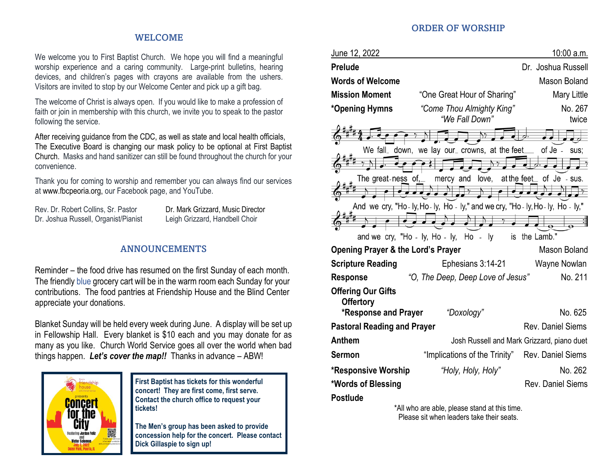### WELCOME

We welcome you to First Baptist Church. We hope you will find a meaningful worship experience and a caring community. Large-print bulletins, hearing devices, and children's pages with crayons are available from the ushers. Visitors are invited to stop by our Welcome Center and pick up a gift bag.

The welcome of Christ is always open. If you would like to make a profession of faith or join in membership with this church, we invite you to speak to the pastor following the service.

After receiving guidance from the CDC, as well as state and local health officials, The Executive Board is changing our mask policy to be optional at First Baptist Church. Masks and hand sanitizer can still be found throughout the church for your convenience.

Thank you for coming to worship and remember you can always find our services at [www.fbcpeoria.org,](http://www.fbcpeoria.org/) our Facebook page, and YouTube.

Dr. Joshua Russell, Organist/Pianist Leigh Grizzard, Handbell Choir

Rev. Dr. Robert Collins, Sr. Pastor **Dr. Mark Grizzard, Music Director** 

### ANNOUNCEMENTS

Reminder – the food drive has resumed on the first Sunday of each month. The friendly blue grocery cart will be in the warm room each Sunday for your contributions. The food pantries at Friendship House and the Blind Center appreciate your donations.

Blanket Sunday will be held every week during June. A display will be set up in Fellowship Hall. Every blanket is \$10 each and you may donate for as many as you like. Church World Service goes all over the world when bad things happen. *Let's cover the map!!* Thanks in advance – ABW!



**First Baptist has tickets for this wonderful concert! They are first come, first serve. Contact the church office to request your tickets!**

**The Men's group has been asked to provide concession help for the concert. Please contact Dick Gillaspie to sign up!**

#### ORDER OF WORSHIP

| June 12, 2022                                                 |                                                                                   | 10:00 a.m.               |  |
|---------------------------------------------------------------|-----------------------------------------------------------------------------------|--------------------------|--|
| <b>Prelude</b>                                                |                                                                                   | Dr. Joshua Russell       |  |
| <b>Words of Welcome</b>                                       |                                                                                   | <b>Mason Boland</b>      |  |
| <b>Mission Moment</b>                                         | "One Great Hour of Sharing"                                                       | <b>Mary Little</b>       |  |
| *Opening Hymns                                                | "Come Thou Almighty King"<br>"We Fall Down"                                       | No. 267<br>twice         |  |
| We fall_                                                      | down, we lay our_ crowns, at the feet                                             | of Je -<br>sus;          |  |
|                                                               |                                                                                   |                          |  |
| of.<br>The great-ness                                         | love,<br>at the feet<br>mercy and                                                 | of Je<br>- SUS.          |  |
|                                                               | And we cry, "Ho - ly, Ho - ly, Ho - ly," and we cry, "Ho - ly, Ho - ly, Ho - ly," |                          |  |
| and we cry, "Ho - ly, Ho - ly, Ho                             | ly<br>is<br>$\overline{a}$                                                        | the Lamb."               |  |
| <b>Opening Prayer &amp; the Lord's Prayer</b><br>Mason Boland |                                                                                   |                          |  |
| <b>Scripture Reading</b>                                      | Ephesians 3:14-21                                                                 | Wayne Nowlan             |  |
| <b>Response</b>                                               | "O, The Deep, Deep Love of Jesus"                                                 | No. 211                  |  |
| <b>Offering Our Gifts</b><br><b>Offertory</b>                 |                                                                                   |                          |  |
| <b>*Response and Prayer</b>                                   | "Doxology"                                                                        | No. 625                  |  |
| <b>Pastoral Reading and Prayer</b>                            |                                                                                   | Rev. Daniel Siems        |  |
| <b>Anthem</b>                                                 | Josh Russell and Mark Grizzard, piano duet                                        |                          |  |
| <b>Sermon</b>                                                 | "Implications of the Trinity"                                                     | Rev. Daniel Siems        |  |
| *Responsive Worship                                           | "Holy, Holy, Holy"                                                                | No. 262                  |  |
| *Words of Blessing                                            |                                                                                   | <b>Rev. Daniel Siems</b> |  |
| <b>Postlude</b>                                               |                                                                                   |                          |  |

\*All who are able, please stand at this time. Please sit when leaders take their seats.